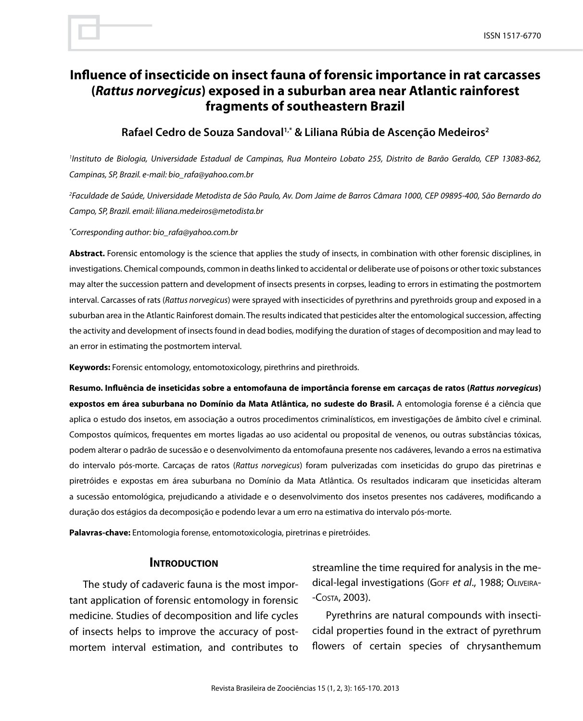# **Influence of insecticide on insect fauna of forensic importance in rat carcasses (***Rattus norvegicus***) exposed in a suburban area near Atlantic rainforest fragments of southeastern Brazil**

## **Rafael Cedro de Souza Sandoval1,\* & Liliana Rúbia de Ascenção Medeiros2**

*1 Instituto de Biologia, Universidade Estadual de Campinas, Rua Monteiro Lobato 255, Distrito de Barão Geraldo, CEP 13083-862, Campinas, SP, Brazil. e-mail: bio\_rafa@yahoo.com.br*

*2 Faculdade de Saúde, Universidade Metodista de São Paulo, Av. Dom Jaime de Barros Câmara 1000, CEP 09895-400, São Bernardo do Campo, SP, Brazil. email: liliana.medeiros@metodista.br*

*\* Corresponding author: bio\_rafa@yahoo.com.br*

**Abstract.** Forensic entomology is the science that applies the study of insects, in combination with other forensic disciplines, in investigations. Chemical compounds, common in deaths linked to accidental or deliberate use of poisons or other toxic substances may alter the succession pattern and development of insects presents in corpses, leading to errors in estimating the postmortem interval. Carcasses of rats (*Rattus norvegicus*) were sprayed with insecticides of pyrethrins and pyrethroids group and exposed in a suburban area in the Atlantic Rainforest domain. The results indicated that pesticides alter the entomological succession, affecting the activity and development of insects found in dead bodies, modifying the duration of stages of decomposition and may lead to an error in estimating the postmortem interval.

**Keywords:** Forensic entomology, entomotoxicology, pirethrins and pirethroids.

**Resumo. Influência de inseticidas sobre a entomofauna de importância forense em carcaças de ratos (***Rattus norvegicus***) expostos em área suburbana no Domínio da Mata Atlântica, no sudeste do Brasil.** A entomologia forense é a ciência que aplica o estudo dos insetos, em associação a outros procedimentos criminalísticos, em investigações de âmbito cível e criminal. Compostos químicos, frequentes em mortes ligadas ao uso acidental ou proposital de venenos, ou outras substâncias tóxicas, podem alterar o padrão de sucessão e o desenvolvimento da entomofauna presente nos cadáveres, levando a erros na estimativa do intervalo pós-morte. Carcaças de ratos (*Rattus norvegicus*) foram pulverizadas com inseticidas do grupo das piretrinas e piretróides e expostas em área suburbana no Domínio da Mata Atlântica. Os resultados indicaram que inseticidas alteram a sucessão entomológica, prejudicando a atividade e o desenvolvimento dos insetos presentes nos cadáveres, modificando a duração dos estágios da decomposição e podendo levar a um erro na estimativa do intervalo pós-morte.

**Palavras-chave:** Entomologia forense, entomotoxicologia, piretrinas e piretróides.

#### **INTRODUCTION**

The study of cadaveric fauna is the most important application of forensic entomology in forensic medicine. Studies of decomposition and life cycles of insects helps to improve the accuracy of postmortem interval estimation, and contributes to streamline the time required for analysis in the medical-legal investigations (Goff *et al*., 1988; Oliveira- -Costa, 2003).

Pyrethrins are natural compounds with insecticidal properties found in the extract of pyrethrum flowers of certain species of chrysanthemum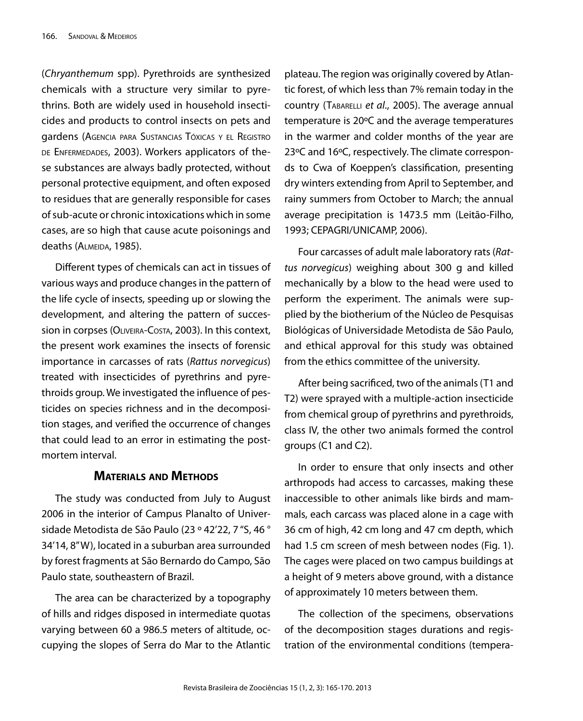(*Chryanthemum* spp). Pyrethroids are synthesized chemicals with a structure very similar to pyrethrins. Both are widely used in household insecticides and products to control insects on pets and gardens (Agencia para Sustancias Tóxicas <sup>y</sup> el Registro DE ENFERMEDADES, 2003). Workers applicators of these substances are always badly protected, without personal protective equipment, and often exposed to residues that are generally responsible for cases of sub-acute or chronic intoxications which in some cases, are so high that cause acute poisonings and deaths (ALMEIDA, 1985).

Different types of chemicals can act in tissues of various ways and produce changes in the pattern of the life cycle of insects, speeding up or slowing the development, and altering the pattern of succession in corpses (OLIVEIRA-COSTA, 2003). In this context, the present work examines the insects of forensic importance in carcasses of rats (*Rattus norvegicus*) treated with insecticides of pyrethrins and pyrethroids group. We investigated the influence of pesticides on species richness and in the decomposition stages, and verified the occurrence of changes that could lead to an error in estimating the postmortem interval.

### **Materials and Methods**

The study was conducted from July to August 2006 in the interior of Campus Planalto of Universidade Metodista de São Paulo (23 º 42'22, 7 "S, 46 ° 34'14, 8" W), located in a suburban area surrounded by forest fragments at São Bernardo do Campo, São Paulo state, southeastern of Brazil.

The area can be characterized by a topography of hills and ridges disposed in intermediate quotas varying between 60 a 986.5 meters of altitude, occupying the slopes of Serra do Mar to the Atlantic

plateau. The region was originally covered by Atlantic forest, of which less than 7% remain today in the country (Tabarelli *et al*., 2005). The average annual temperature is 20ºC and the average temperatures in the warmer and colder months of the year are 23ºC and 16ºC, respectively. The climate corresponds to Cwa of Koeppen's classification, presenting dry winters extending from April to September, and rainy summers from October to March; the annual average precipitation is 1473.5 mm (Leitão-Filho, 1993; CEPAGRI/UNICAMP, 2006).

Four carcasses of adult male laboratory rats (*Rattus norvegicus*) weighing about 300 g and killed mechanically by a blow to the head were used to perform the experiment. The animals were supplied by the biotherium of the Núcleo de Pesquisas Biológicas of Universidade Metodista de São Paulo, and ethical approval for this study was obtained from the ethics committee of the university.

After being sacrificed, two of the animals (T1 and T2) were sprayed with a multiple-action insecticide from chemical group of pyrethrins and pyrethroids, class IV, the other two animals formed the control groups (C1 and C2).

In order to ensure that only insects and other arthropods had access to carcasses, making these inaccessible to other animals like birds and mammals, each carcass was placed alone in a cage with 36 cm of high, 42 cm long and 47 cm depth, which had 1.5 cm screen of mesh between nodes (Fig. 1). The cages were placed on two campus buildings at a height of 9 meters above ground, with a distance of approximately 10 meters between them.

The collection of the specimens, observations of the decomposition stages durations and registration of the environmental conditions (tempera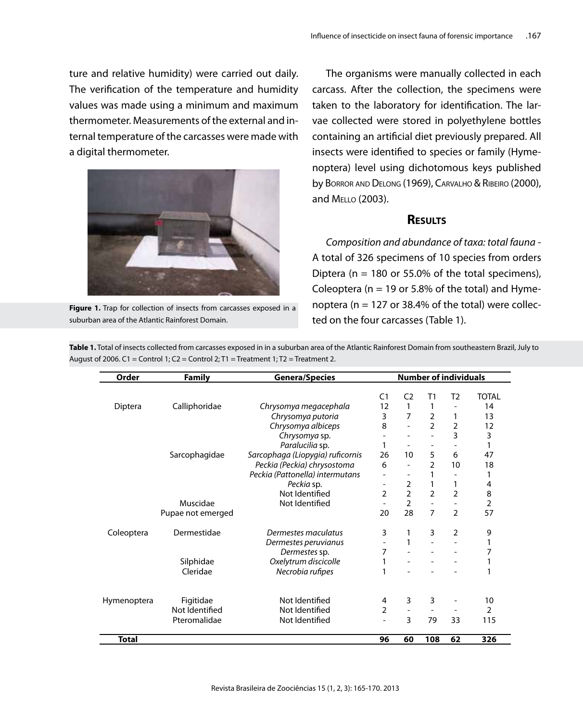ture and relative humidity) were carried out daily. The verification of the temperature and humidity values was made using a minimum and maximum thermometer. Measurements of the external and internal temperature of the carcasses were made with a digital thermometer.



Figure 1. Trap for collection of insects from carcasses exposed in a suburban area of the Atlantic Rainforest Domain.

The organisms were manually collected in each carcass. After the collection, the specimens were taken to the laboratory for identification. The larvae collected were stored in polyethylene bottles containing an artificial diet previously prepared. All insects were identified to species or family (Hymenoptera) level using dichotomous keys published by Borror and Delong (1969), Carvalho & Ribeiro (2000), and Mello (2003).

### **Results**

*Composition and abundance of taxa: total fauna* - A total of 326 specimens of 10 species from orders Diptera ( $n = 180$  or 55.0% of the total specimens), Coleoptera ( $n = 19$  or 5.8% of the total) and Hymenoptera ( $n = 127$  or 38.4% of the total) were collected on the four carcasses (Table 1).

**Table 1.** Total of insects collected from carcasses exposed in in a suburban area of the Atlantic Rainforest Domain from southeastern Brazil, July to August of 2006. C1 = Control 1: C2 = Control 2: T1 = Treatment 1: T2 = Treatment 2.

| Order        | <b>Family</b>     | <b>Genera/Species</b>            | <b>Number of individuals</b> |                          |                |                          |                |
|--------------|-------------------|----------------------------------|------------------------------|--------------------------|----------------|--------------------------|----------------|
|              |                   |                                  | C <sub>1</sub>               | C <sub>2</sub>           | T1             | T2                       | TOTAL          |
| Diptera      | Calliphoridae     | Chrysomya megacephala            | 12                           | 1                        |                |                          | 14             |
|              |                   | Chrysomya putoria                | 3                            | $\overline{7}$           | $\overline{2}$ | 1                        | 13             |
|              |                   | Chrysomya albiceps               | 8                            | $\overline{\phantom{0}}$ | $\overline{2}$ | $\overline{2}$           | 12             |
|              |                   | Chrysomya sp.                    | $\overline{\phantom{a}}$     | $\overline{a}$           |                | 3                        | 3              |
|              |                   | Paralucilia sp.                  | 1                            | -                        |                | $\overline{\phantom{a}}$ | 1              |
|              | Sarcophagidae     | Sarcophaga (Liopygia) ruficornis | 26                           | 10                       | 5              | 6                        | 47             |
|              |                   | Peckia (Peckia) chrysostoma      | 6                            | $\overline{\phantom{a}}$ | C              | 10                       | 18             |
|              |                   | Peckia (Pattonella) intermutans  | $\qquad \qquad$              | $\overline{a}$           |                |                          | 1              |
|              |                   | Peckia sp.                       | $\qquad \qquad$              | $\overline{2}$           | 1              | 1                        | 4              |
|              |                   | Not Identified                   | 2                            | $\overline{2}$           | 2              | $\overline{2}$           | 8              |
|              | Muscidae          | Not Identified                   | $\overline{\phantom{a}}$     | $\overline{2}$           |                |                          | $\overline{2}$ |
|              | Pupae not emerged |                                  | 20                           | 28                       | $\overline{7}$ | $\mathfrak{D}$           | 57             |
| Coleoptera   | Dermestidae       | Dermestes maculatus              | 3                            | 1                        | 3              | 2                        | 9              |
|              |                   | Dermestes peruvianus             |                              | 1                        |                |                          |                |
|              |                   | Dermestes sp.                    | 7                            |                          |                |                          |                |
|              | Silphidae         | Oxelytrum discicolle             | 1                            |                          |                |                          |                |
|              | Cleridae          | Necrobia rufipes                 | 1                            |                          |                |                          |                |
|              |                   |                                  |                              |                          |                |                          |                |
| Hymenoptera  | Figitidae         | Not Identified                   | 4                            | 3                        | 3              |                          | 10             |
|              | Not Identified    | Not Identified                   | 2                            | $\overline{\phantom{a}}$ |                |                          | $\overline{2}$ |
|              | Pteromalidae      | Not Identified                   | $\overline{a}$               | 3                        | 79             | 33                       | 115            |
| <b>Total</b> |                   |                                  | 96                           | 60                       | 108            | 62                       | 326            |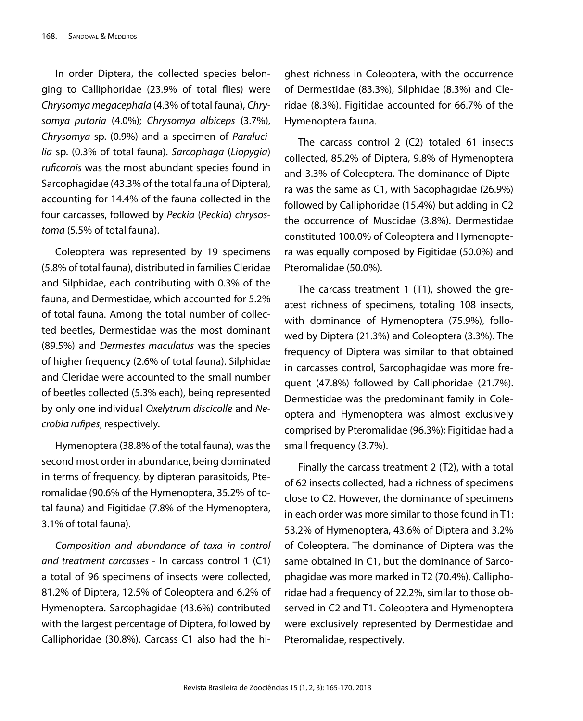In order Diptera, the collected species belonging to Calliphoridae (23.9% of total flies) were *Chrysomya megacephala* (4.3% of total fauna), *Chrysomya putoria* (4.0%); *Chrysomya albiceps* (3.7%), *Chrysomya* sp. (0.9%) and a specimen of *Paralucilia* sp. (0.3% of total fauna). *Sarcophaga* (*Liopygia*) *ruficornis* was the most abundant species found in Sarcophagidae (43.3% of the total fauna of Diptera), accounting for 14.4% of the fauna collected in the four carcasses, followed by *Peckia* (*Peckia*) *chrysostoma* (5.5% of total fauna).

Coleoptera was represented by 19 specimens (5.8% of total fauna), distributed in families Cleridae and Silphidae, each contributing with 0.3% of the fauna, and Dermestidae, which accounted for 5.2% of total fauna. Among the total number of collected beetles, Dermestidae was the most dominant (89.5%) and *Dermestes maculatus* was the species of higher frequency (2.6% of total fauna). Silphidae and Cleridae were accounted to the small number of beetles collected (5.3% each), being represented by only one individual *Oxelytrum discicolle* and *Necrobia rufipes*, respectively.

Hymenoptera (38.8% of the total fauna), was the second most order in abundance, being dominated in terms of frequency, by dipteran parasitoids, Pteromalidae (90.6% of the Hymenoptera, 35.2% of total fauna) and Figitidae (7.8% of the Hymenoptera, 3.1% of total fauna).

*Composition and abundance of taxa in control and treatment carcasses* - In carcass control 1 (C1) a total of 96 specimens of insects were collected, 81.2% of Diptera, 12.5% of Coleoptera and 6.2% of Hymenoptera. Sarcophagidae (43.6%) contributed with the largest percentage of Diptera, followed by Calliphoridae (30.8%). Carcass C1 also had the highest richness in Coleoptera, with the occurrence of Dermestidae (83.3%), Silphidae (8.3%) and Cleridae (8.3%). Figitidae accounted for 66.7% of the Hymenoptera fauna.

The carcass control 2 (C2) totaled 61 insects collected, 85.2% of Diptera, 9.8% of Hymenoptera and 3.3% of Coleoptera. The dominance of Diptera was the same as C1, with Sacophagidae (26.9%) followed by Calliphoridae (15.4%) but adding in C2 the occurrence of Muscidae (3.8%). Dermestidae constituted 100.0% of Coleoptera and Hymenoptera was equally composed by Figitidae (50.0%) and Pteromalidae (50.0%).

The carcass treatment 1 (T1), showed the greatest richness of specimens, totaling 108 insects, with dominance of Hymenoptera (75.9%), followed by Diptera (21.3%) and Coleoptera (3.3%). The frequency of Diptera was similar to that obtained in carcasses control, Sarcophagidae was more frequent (47.8%) followed by Calliphoridae (21.7%). Dermestidae was the predominant family in Coleoptera and Hymenoptera was almost exclusively comprised by Pteromalidae (96.3%); Figitidae had a small frequency (3.7%).

Finally the carcass treatment 2 (T2), with a total of 62 insects collected, had a richness of specimens close to C2. However, the dominance of specimens in each order was more similar to those found in T1: 53.2% of Hymenoptera, 43.6% of Diptera and 3.2% of Coleoptera. The dominance of Diptera was the same obtained in C1, but the dominance of Sarcophagidae was more marked in T2 (70.4%). Calliphoridae had a frequency of 22.2%, similar to those observed in C2 and T1. Coleoptera and Hymenoptera were exclusively represented by Dermestidae and Pteromalidae, respectively.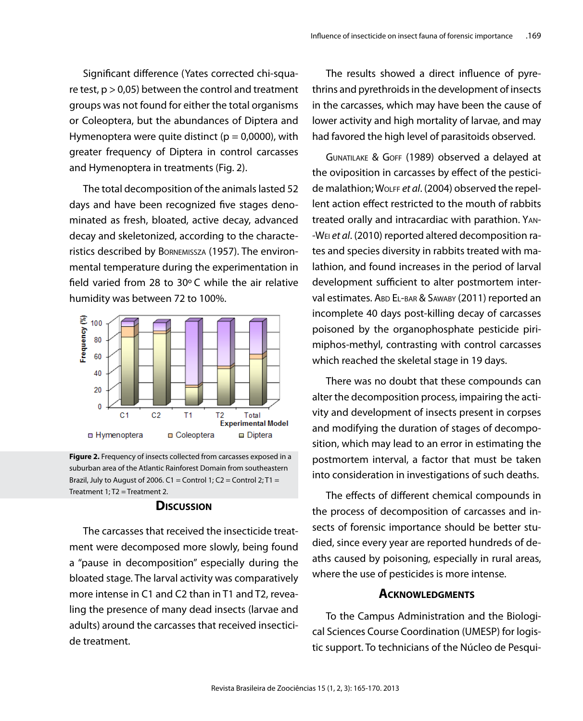Significant difference (Yates corrected chi-square test,  $p > 0.05$ ) between the control and treatment groups was not found for either the total organisms or Coleoptera, but the abundances of Diptera and Hymenoptera were quite distinct ( $p = 0.0000$ ), with greater frequency of Diptera in control carcasses and Hymenoptera in treatments (Fig. 2).

The total decomposition of the animals lasted 52 days and have been recognized five stages denominated as fresh, bloated, active decay, advanced decay and skeletonized, according to the characteristics described by Bornemissza (1957). The environmental temperature during the experimentation in field varied from 28 to 30º C while the air relative humidity was between 72 to 100%.



**Figure 2.** Frequency of insects collected from carcasses exposed in a suburban area of the Atlantic Rainforest Domain from southeastern Brazil, July to August of 2006. C1 = Control 1; C2 = Control 2; T1 = Treatment  $1: T2 = T$ reatment 2.

#### **Discussion**

The carcasses that received the insecticide treatment were decomposed more slowly, being found a "pause in decomposition" especially during the bloated stage. The larval activity was comparatively more intense in C1 and C2 than in T1 and T2, revealing the presence of many dead insects (larvae and adults) around the carcasses that received insecticide treatment.

The results showed a direct influence of pyrethrins and pyrethroids in the development of insects in the carcasses, which may have been the cause of lower activity and high mortality of larvae, and may had favored the high level of parasitoids observed.

Gunatilake & Goff (1989) observed a delayed at the oviposition in carcasses by effect of the pesticide malathion; Wolff *et al*. (2004) observed the repellent action effect restricted to the mouth of rabbits treated orally and intracardiac with parathion. Yan- -Wei *et al*. (2010) reported altered decomposition rates and species diversity in rabbits treated with malathion, and found increases in the period of larval development sufficient to alter postmortem interval estimates. ABD EL-BAR & SAWABY (2011) reported an incomplete 40 days post-killing decay of carcasses poisoned by the organophosphate pesticide pirimiphos-methyl, contrasting with control carcasses which reached the skeletal stage in 19 days.

There was no doubt that these compounds can alter the decomposition process, impairing the activity and development of insects present in corpses and modifying the duration of stages of decomposition, which may lead to an error in estimating the postmortem interval, a factor that must be taken into consideration in investigations of such deaths.

The effects of different chemical compounds in the process of decomposition of carcasses and insects of forensic importance should be better studied, since every year are reported hundreds of deaths caused by poisoning, especially in rural areas, where the use of pesticides is more intense.

#### **Acknowledgments**

To the Campus Administration and the Biological Sciences Course Coordination (UMESP) for logistic support. To technicians of the Núcleo de Pesqui